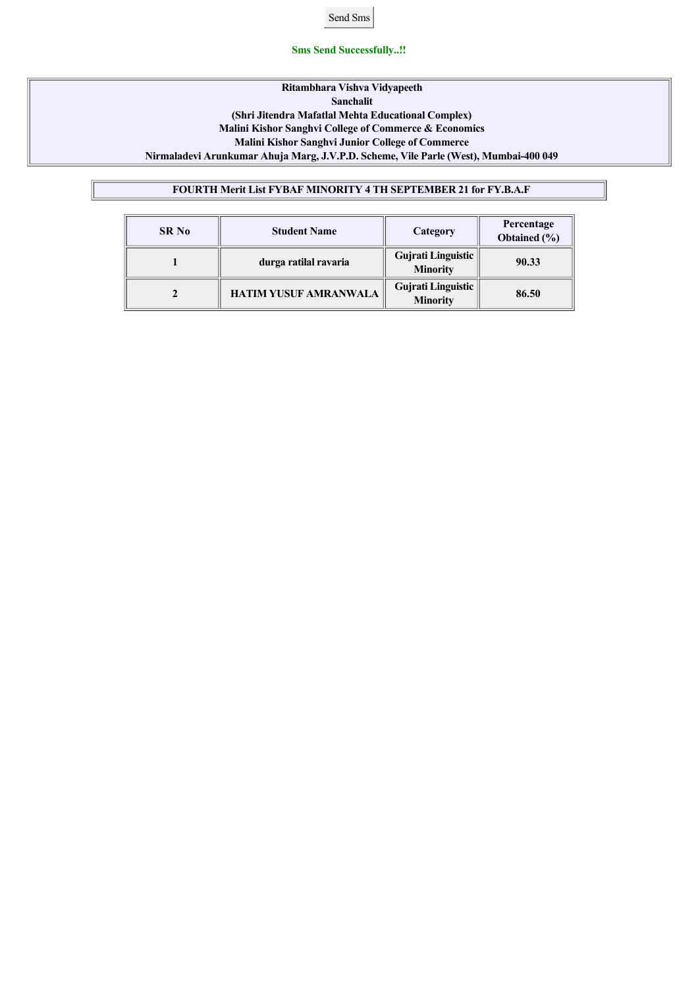#### **Sms Send Successfully..!!**

## **Ritambhara Vishva Vidyapeeth Sanchalit (Shri Jitendra Mafatlal Mehta Educational Complex) Malini Kishor Sanghvi College of Commerce & Economics Malini Kishor Sanghvi Junior College of Commerce Nirmaladevi Arunkumar Ahuja Marg, J.V.P.D. Scheme, Vile Parle (West), Mumbai400 049**

# **FOURTH Merit List FYBAF MINORITY 4 TH SEPTEMBER 21 for FY.B.A.F**

| SR <sub>No</sub> | <b>Student Name</b>          | Category                                     | Percentage<br>Obtained (%) |
|------------------|------------------------------|----------------------------------------------|----------------------------|
|                  | durga ratilal ravaria        | <b>Gujrati Linguistic</b><br><b>Minority</b> | 90.33                      |
|                  | <b>HATIM YUSUF AMRANWALA</b> | Gujrati Linguistic<br><b>Minority</b>        | 86.50                      |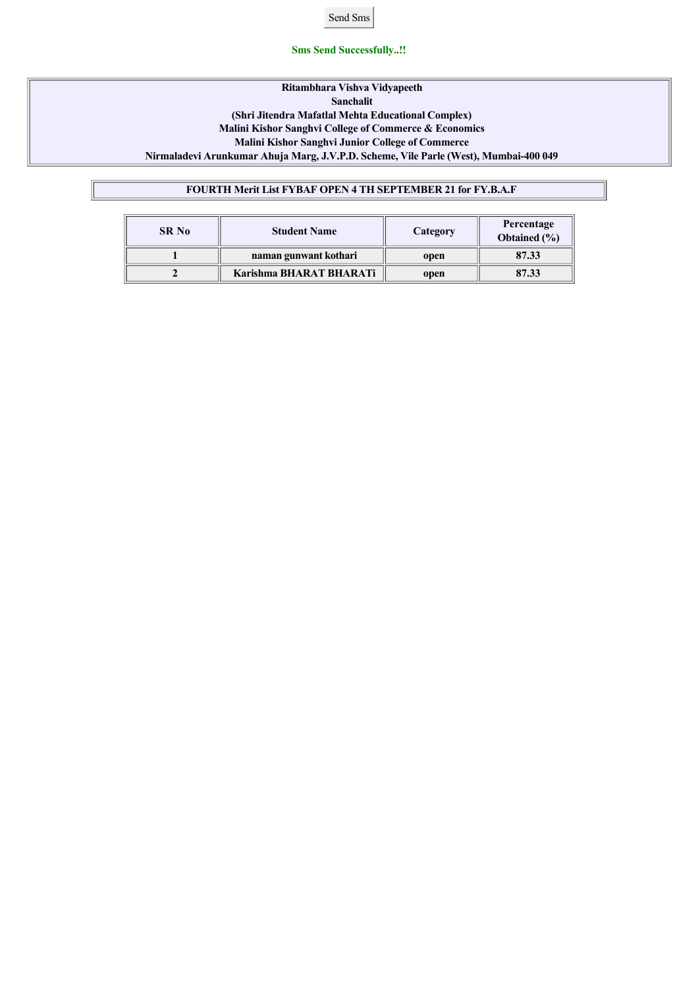#### **Sms Send Successfully..!!**

## **Ritambhara Vishva Vidyapeeth Sanchalit (Shri Jitendra Mafatlal Mehta Educational Complex) Malini Kishor Sanghvi College of Commerce & Economics Malini Kishor Sanghvi Junior College of Commerce Nirmaladevi Arunkumar Ahuja Marg, J.V.P.D. Scheme, Vile Parle (West), Mumbai400 049**

# **FOURTH Merit List FYBAF OPEN 4 TH SEPTEMBER 21 for FY.B.A.F**

| <b>SR No</b> | <b>Student Name</b>     | Category | Percentage<br>Obtained (%) |
|--------------|-------------------------|----------|----------------------------|
|              | naman gunwant kothari   | open     | 87.33                      |
|              | Karishma BHARAT BHARATi | open     | 87.33                      |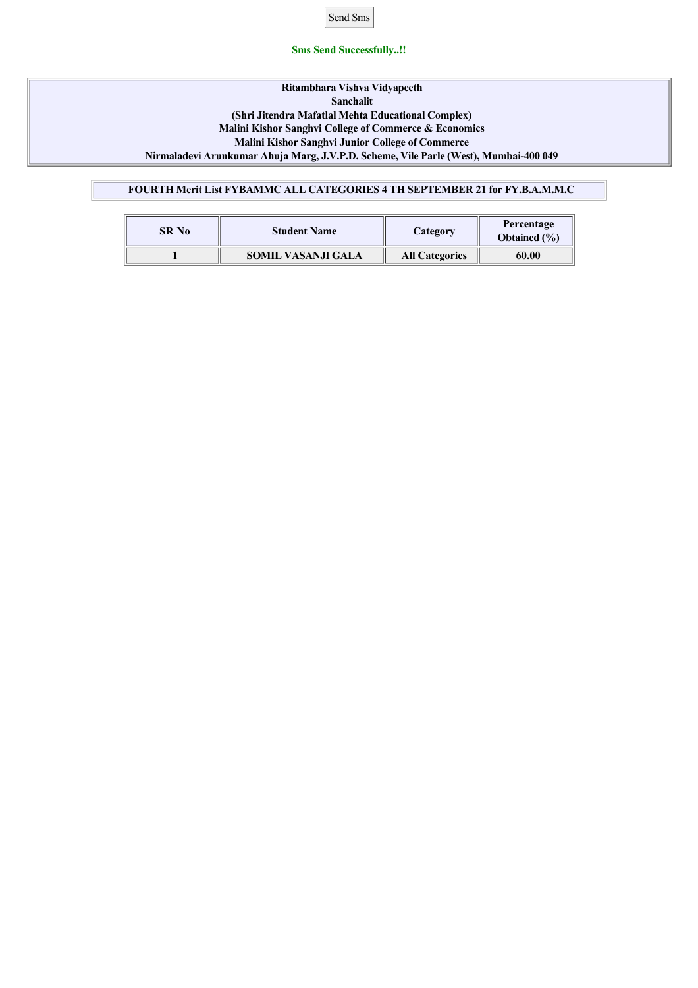## **Sms Send Successfully..!!**

## **Ritambhara Vishva Vidyapeeth Sanchalit (Shri Jitendra Mafatlal Mehta Educational Complex) Malini Kishor Sanghvi College of Commerce & Economics Malini Kishor Sanghvi Junior College of Commerce Nirmaladevi Arunkumar Ahuja Marg, J.V.P.D. Scheme, Vile Parle (West), Mumbai400 049**

# **FOURTH Merit List FYBAMMC ALL CATEGORIES 4 TH SEPTEMBER 21 for FY.B.A.M.M.C**

| SR No | <b>Student Name</b>       | Category              | Percentage<br>Obtained $(\% )$ |
|-------|---------------------------|-----------------------|--------------------------------|
|       | <b>SOMIL VASANJI GALA</b> | <b>All Categories</b> | 60.00                          |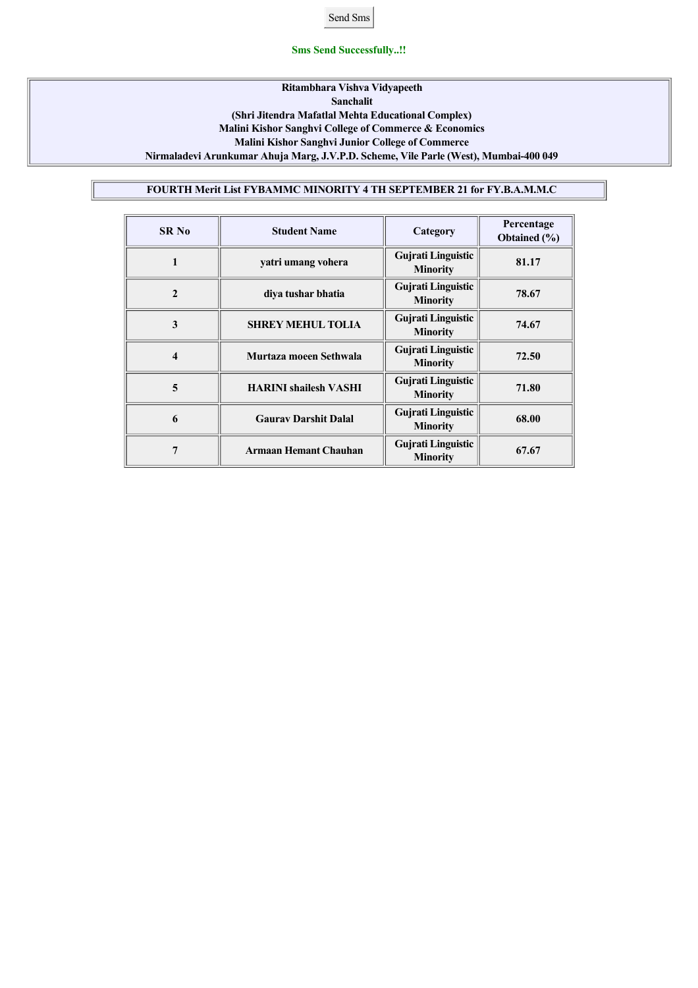## **Sms Send Successfully..!!**

## **Ritambhara Vishva Vidyapeeth Sanchalit (Shri Jitendra Mafatlal Mehta Educational Complex) Malini Kishor Sanghvi College of Commerce & Economics Malini Kishor Sanghvi Junior College of Commerce Nirmaladevi Arunkumar Ahuja Marg, J.V.P.D. Scheme, Vile Parle (West), Mumbai400 049**

# **FOURTH Merit List FYBAMMC MINORITY 4 TH SEPTEMBER 21 for FY.B.A.M.M.C**

| <b>SR No</b>            | <b>Student Name</b>          | Category                                     | Percentage<br><b>Obtained</b> (%) |
|-------------------------|------------------------------|----------------------------------------------|-----------------------------------|
| 1                       | yatri umang vohera           | <b>Gujrati Linguistic</b><br><b>Minority</b> | 81.17                             |
| $\mathbf{2}$            | diya tushar bhatia           | <b>Gujrati Linguistic</b><br><b>Minority</b> | 78.67                             |
| 3                       | <b>SHREY MEHUL TOLIA</b>     | <b>Gujrati Linguistic</b><br><b>Minority</b> | 74.67                             |
| $\overline{\mathbf{4}}$ | Murtaza moeen Sethwala       | <b>Gujrati Linguistic</b><br><b>Minority</b> | 72.50                             |
| 5                       | <b>HARINI</b> shailesh VASHI | <b>Gujrati Linguistic</b><br><b>Minority</b> | 71.80                             |
| 6                       | <b>Gauray Darshit Dalal</b>  | <b>Gujrati Linguistic</b><br><b>Minority</b> | 68.00                             |
| 7                       | <b>Armaan Hemant Chauhan</b> | <b>Gujrati Linguistic</b><br><b>Minority</b> | 67.67                             |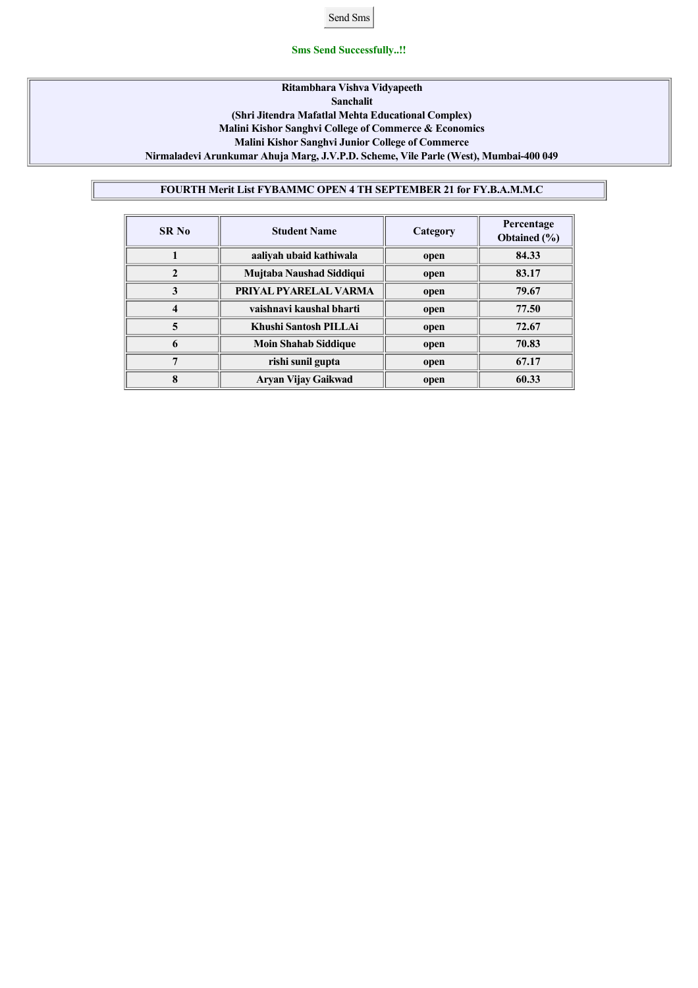#### **Sms Send Successfully..!!**

## **Ritambhara Vishva Vidyapeeth Sanchalit (Shri Jitendra Mafatlal Mehta Educational Complex) Malini Kishor Sanghvi College of Commerce & Economics Malini Kishor Sanghvi Junior College of Commerce Nirmaladevi Arunkumar Ahuja Marg, J.V.P.D. Scheme, Vile Parle (West), Mumbai400 049**

# **FOURTH Merit List FYBAMMC OPEN 4 TH SEPTEMBER 21 for FY.B.A.M.M.C**

| SR <sub>No</sub> | <b>Student Name</b>         | Category | Percentage<br><b>Obtained</b> (%) |
|------------------|-----------------------------|----------|-----------------------------------|
|                  | aaliyah ubaid kathiwala     | open     | 84.33                             |
| $\mathbf{2}$     | Mujtaba Naushad Siddiqui    | open     | 83.17                             |
| 3                | PRIYAL PYARELAL VARMA       | open     | 79.67                             |
|                  | vaishnavi kaushal bharti    | open     | 77.50                             |
|                  | Khushi Santosh PILLAi       | open     | 72.67                             |
| 6                | <b>Moin Shahab Siddique</b> | open     | 70.83                             |
|                  | rishi sunil gupta           | open     | 67.17                             |
| 8                | Aryan Vijay Gaikwad         | open     | 60.33                             |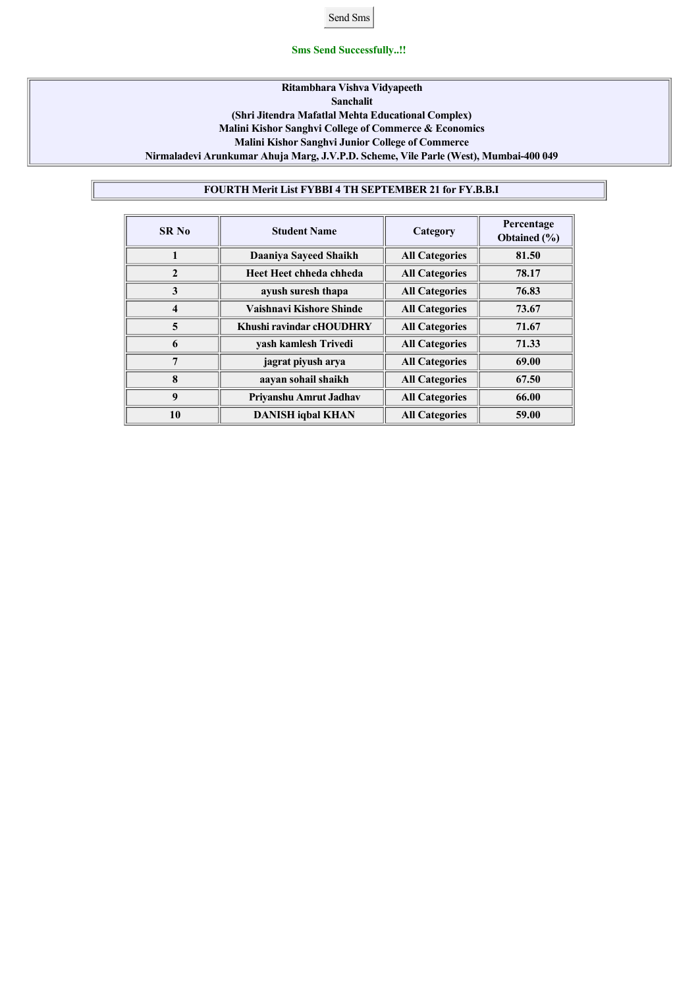#### **Sms Send Successfully..!!**

## **Ritambhara Vishva Vidyapeeth Sanchalit (Shri Jitendra Mafatlal Mehta Educational Complex) Malini Kishor Sanghvi College of Commerce & Economics Malini Kishor Sanghvi Junior College of Commerce Nirmaladevi Arunkumar Ahuja Marg, J.V.P.D. Scheme, Vile Parle (West), Mumbai400 049**

# **FOURTH Merit List FYBBI 4 TH SEPTEMBER 21 for FY.B.B.I**

| <b>SR No</b> | <b>Student Name</b>      | Category              | Percentage<br><b>Obtained</b> (%) |
|--------------|--------------------------|-----------------------|-----------------------------------|
|              | Daaniya Sayeed Shaikh    | <b>All Categories</b> | 81.50                             |
| $\mathbf{2}$ | Heet Heet chheda chheda  | <b>All Categories</b> | 78.17                             |
| 3            | ayush suresh thapa       | <b>All Categories</b> | 76.83                             |
| 4            | Vaishnavi Kishore Shinde | <b>All Categories</b> | 73.67                             |
| 5            | Khushi ravindar cHOUDHRY | <b>All Categories</b> | 71.67                             |
| 6            | vash kamlesh Trivedi     | <b>All Categories</b> | 71.33                             |
| 7            | jagrat piyush arya       | <b>All Categories</b> | 69.00                             |
| 8            | aayan sohail shaikh      | <b>All Categories</b> | 67.50                             |
| 9            | Privanshu Amrut Jadhav   | <b>All Categories</b> | 66.00                             |
| 10           | <b>DANISH iqbal KHAN</b> | <b>All Categories</b> | 59.00                             |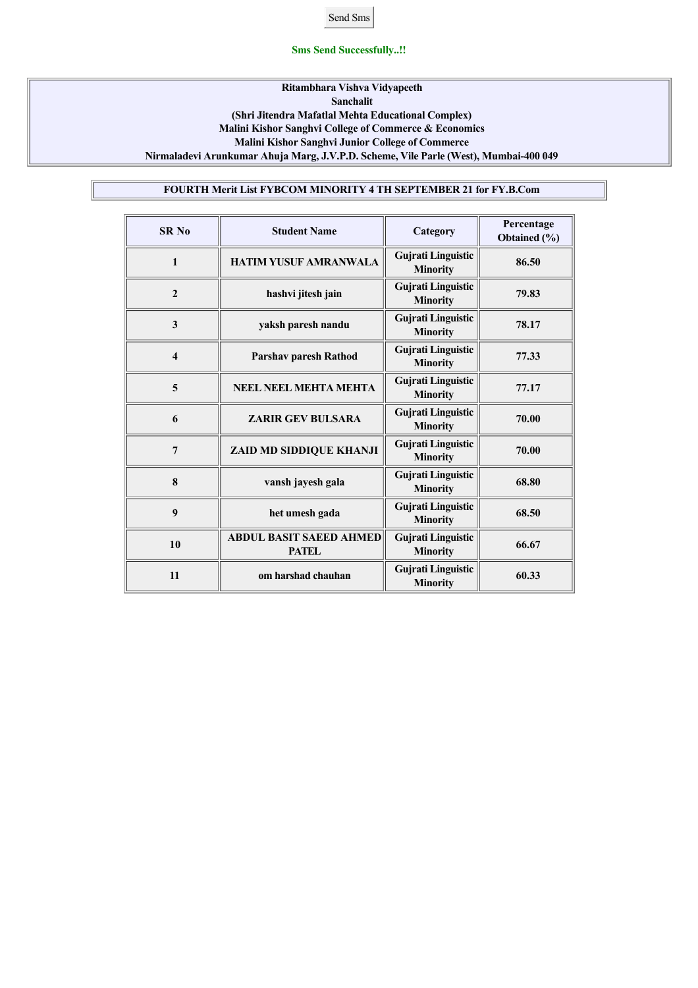## **Sms Send Successfully..!!**

## **Ritambhara Vishva Vidyapeeth Sanchalit (Shri Jitendra Mafatlal Mehta Educational Complex) Malini Kishor Sanghvi College of Commerce & Economics Malini Kishor Sanghvi Junior College of Commerce Nirmaladevi Arunkumar Ahuja Marg, J.V.P.D. Scheme, Vile Parle (West), Mumbai400 049**

# **FOURTH Merit List FYBCOM MINORITY 4 TH SEPTEMBER 21 for FY.B.Com**

| <b>SR No</b>            | <b>Student Name</b>                            | Category                                     | Percentage<br>Obtained (%) |
|-------------------------|------------------------------------------------|----------------------------------------------|----------------------------|
| $\mathbf{1}$            | <b>HATIM YUSUF AMRANWALA</b>                   | Gujrati Linguistic<br><b>Minority</b>        | 86.50                      |
| $\overline{2}$          | hashvi jitesh jain                             | <b>Gujrati Linguistic</b><br><b>Minority</b> | 79.83                      |
| 3                       | yaksh paresh nandu                             | Gujrati Linguistic<br><b>Minority</b>        | 78.17                      |
| $\overline{\mathbf{4}}$ | <b>Parshav paresh Rathod</b>                   | <b>Gujrati Linguistic</b><br><b>Minority</b> | 77.33                      |
| 5                       | <b>NEEL NEEL MEHTA MEHTA</b>                   | <b>Gujrati Linguistic</b><br><b>Minority</b> | 77.17                      |
| 6                       | <b>ZARIR GEV BULSARA</b>                       | <b>Gujrati Linguistic</b><br><b>Minority</b> | 70.00                      |
| 7                       | <b>ZAID MD SIDDIQUE KHANJI</b>                 | <b>Gujrati Linguistic</b><br><b>Minority</b> | 70.00                      |
| 8                       | vansh jayesh gala                              | <b>Gujrati Linguistic</b><br><b>Minority</b> | 68.80                      |
| 9                       | het umesh gada                                 | <b>Gujrati Linguistic</b><br><b>Minority</b> | 68.50                      |
| 10                      | <b>ABDUL BASIT SAEED AHMED</b><br><b>PATEL</b> | <b>Gujrati Linguistic</b><br><b>Minority</b> | 66.67                      |
| 11                      | om harshad chauhan                             | <b>Gujrati Linguistic</b><br><b>Minority</b> | 60.33                      |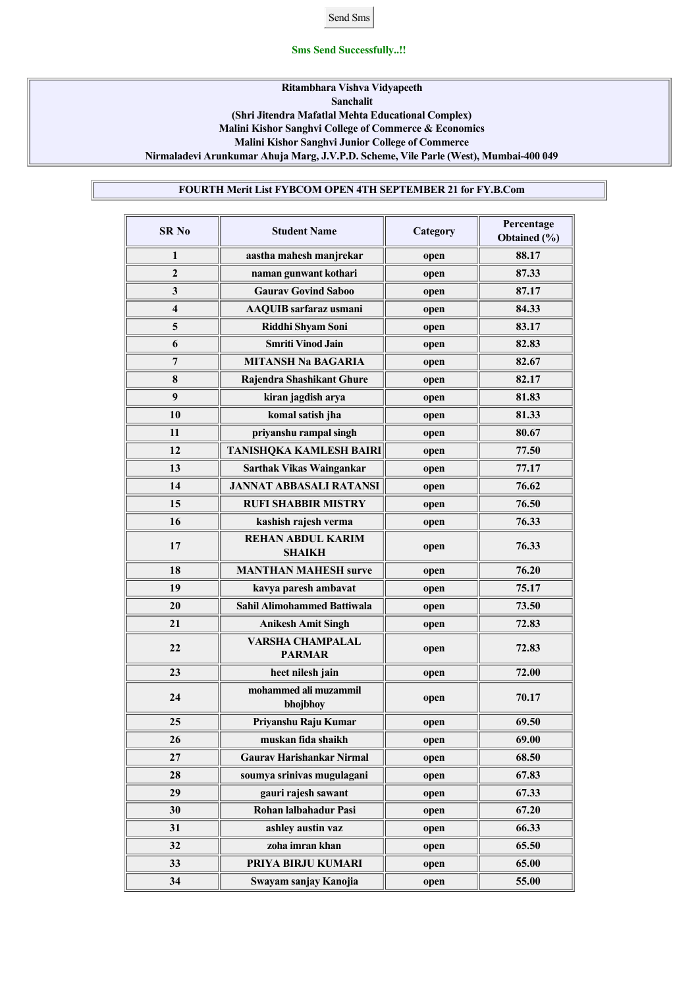## **Sms Send Successfully..!!**

## **Ritambhara Vishva Vidyapeeth Sanchalit (Shri Jitendra Mafatlal Mehta Educational Complex) Malini Kishor Sanghvi College of Commerce & Economics Malini Kishor Sanghvi Junior College of Commerce Nirmaladevi Arunkumar Ahuja Marg, J.V.P.D. Scheme, Vile Parle (West), Mumbai400 049**

# **FOURTH Merit List FYBCOM OPEN 4TH SEPTEMBER 21 for FY.B.Com**

| SR <sub>No</sub>    | <b>Student Name</b>                       | Category | Percentage<br>Obtained (%) |
|---------------------|-------------------------------------------|----------|----------------------------|
| 1                   | aastha mahesh manjrekar                   | open     | 88.17                      |
| $\mathbf{2}$        | naman gunwant kothari                     | open     | 87.33                      |
| 3                   | <b>Gaurav Govind Saboo</b>                | open     | 87.17                      |
| $\overline{\bf{4}}$ | <b>AAQUIB</b> sarfaraz usmani             | open     | 84.33                      |
| 5                   | Riddhi Shyam Soni                         | open     | 83.17                      |
| 6                   | <b>Smriti Vinod Jain</b>                  | open     | 82.83                      |
| 7                   | <b>MITANSH Na BAGARIA</b>                 | open     | 82.67                      |
| 8                   | Rajendra Shashikant Ghure                 | open     | 82.17                      |
| 9                   | kiran jagdish arya                        | open     | 81.83                      |
| 10                  | komal satish jha                          | open     | 81.33                      |
| 11                  | priyanshu rampal singh                    | open     | 80.67                      |
| 12                  | <b>TANISHQKA KAMLESH BAIRI</b>            | open     | 77.50                      |
| 13                  | <b>Sarthak Vikas Waingankar</b>           | open     | 77.17                      |
| 14                  | <b>JANNAT ABBASALI RATANSI</b>            | open     | 76.62                      |
| 15                  | <b>RUFI SHABBIR MISTRY</b>                | open     | 76.50                      |
| 16                  | kashish rajesh verma                      | open     | 76.33                      |
| 17                  | <b>REHAN ABDUL KARIM</b><br><b>SHAIKH</b> | open     | 76.33                      |
| 18                  | <b>MANTHAN MAHESH surve</b>               | open     | 76.20                      |
| 19                  | kavya paresh ambavat                      | open     | 75.17                      |
| 20                  | <b>Sahil Alimohammed Battiwala</b>        | open     | 73.50                      |
| 21                  | <b>Anikesh Amit Singh</b>                 | open     | 72.83                      |
| 22                  | <b>VARSHA CHAMPALAL</b><br><b>PARMAR</b>  | open     | 72.83                      |
| 23                  | heet nilesh jain                          | open     | 72.00                      |
| 24                  | mohammed ali muzammil<br>bhojbhoy         | open     | 70.17                      |
| 25                  | Priyanshu Raju Kumar                      | open     | 69.50                      |
| 26                  | muskan fida shaikh                        | open     | 69.00                      |
| 27                  | <b>Gaurav Harishankar Nirmal</b>          | open     | 68.50                      |
| 28                  | soumya srinivas mugulagani                | open     | 67.83                      |
| 29                  | gauri rajesh sawant                       | open     | 67.33                      |
| 30                  | Rohan lalbahadur Pasi                     | open     | 67.20                      |
| 31                  | ashley austin vaz                         | open     | 66.33                      |
| 32                  | zoha imran khan                           | open     | 65.50                      |
| 33                  | PRIYA BIRJU KUMARI                        | open     | 65.00                      |
| 34                  | Swayam sanjay Kanojia                     | open     | 55.00                      |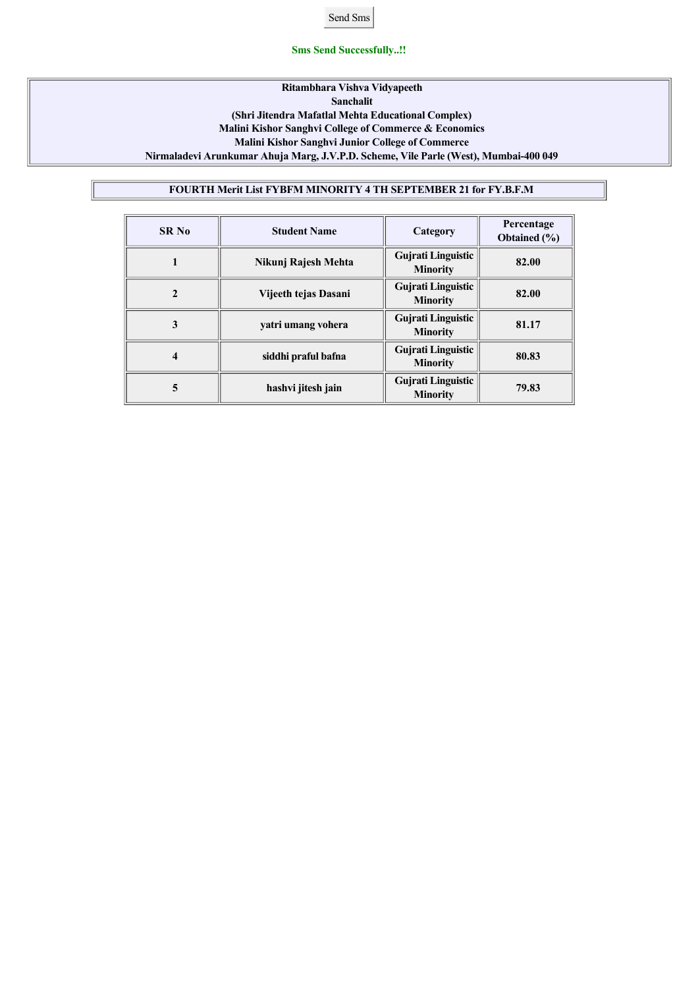## **Sms Send Successfully..!!**

## **Ritambhara Vishva Vidyapeeth Sanchalit (Shri Jitendra Mafatlal Mehta Educational Complex) Malini Kishor Sanghvi College of Commerce & Economics Malini Kishor Sanghvi Junior College of Commerce Nirmaladevi Arunkumar Ahuja Marg, J.V.P.D. Scheme, Vile Parle (West), Mumbai400 049**

# **FOURTH Merit List FYBFM MINORITY 4 TH SEPTEMBER 21 for FY.B.F.M**

| <b>SR No</b> | <b>Student Name</b>  | Category                                     | Percentage<br>Obtained (%) |
|--------------|----------------------|----------------------------------------------|----------------------------|
|              | Nikunj Rajesh Mehta  | <b>Gujrati Linguistic</b><br><b>Minority</b> | 82.00                      |
| 2            | Vijeeth tejas Dasani | <b>Gujrati Linguistic</b><br><b>Minority</b> | 82.00                      |
| 3            | vatri umang vohera   | <b>Gujrati Linguistic</b><br><b>Minority</b> | 81.17                      |
| 4            | siddhi praful bafna  | <b>Gujrati Linguistic</b><br><b>Minority</b> | 80.83                      |
| 5            | hashvi jitesh jain   | <b>Gujrati Linguistic</b><br><b>Minority</b> | 79.83                      |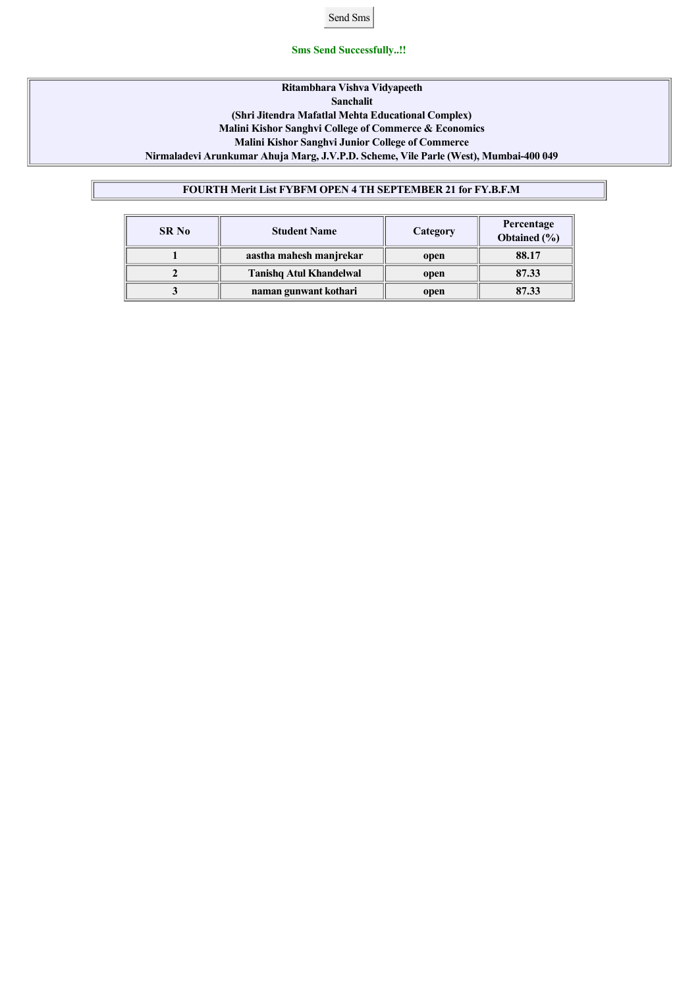#### **Sms Send Successfully..!!**

## **Ritambhara Vishva Vidyapeeth Sanchalit (Shri Jitendra Mafatlal Mehta Educational Complex) Malini Kishor Sanghvi College of Commerce & Economics Malini Kishor Sanghvi Junior College of Commerce Nirmaladevi Arunkumar Ahuja Marg, J.V.P.D. Scheme, Vile Parle (West), Mumbai400 049**

# **FOURTH Merit List FYBFM OPEN 4 TH SEPTEMBER 21 for FY.B.F.M**

| <b>SR No</b> | <b>Student Name</b>            | Category | Percentage<br>Obtained (%) |
|--------------|--------------------------------|----------|----------------------------|
|              | aastha mahesh manjrekar        | open     | 88.17                      |
|              | <b>Tanishq Atul Khandelwal</b> | open     | 87.33                      |
|              | naman gunwant kothari          | open     | 87.33                      |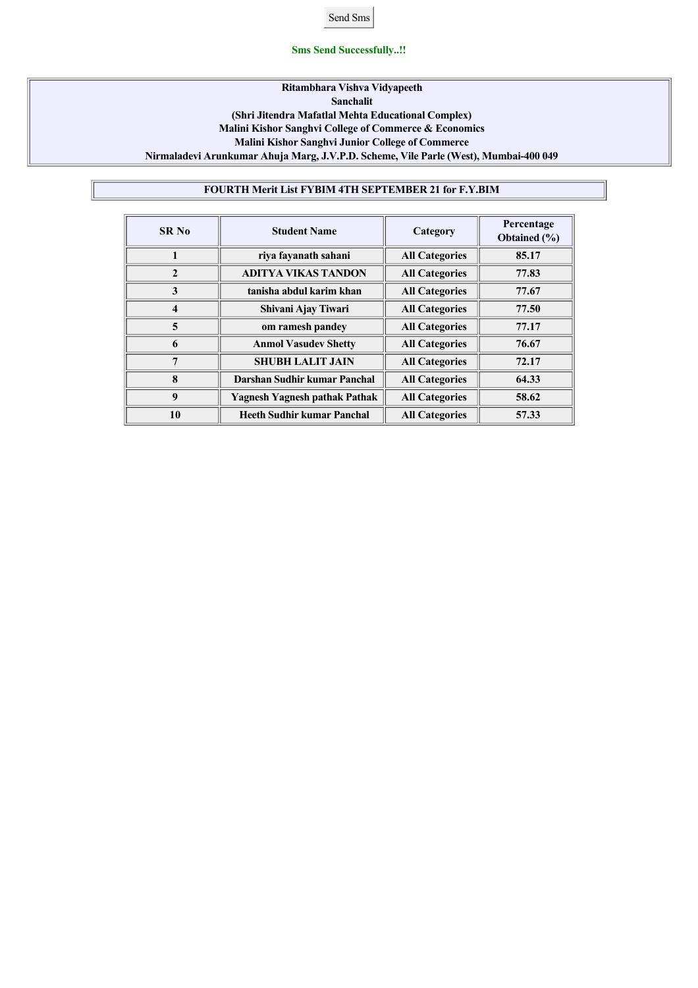#### **Sms Send Successfully..!!**

## **Ritambhara Vishva Vidyapeeth Sanchalit (Shri Jitendra Mafatlal Mehta Educational Complex) Malini Kishor Sanghvi College of Commerce & Economics Malini Kishor Sanghvi Junior College of Commerce Nirmaladevi Arunkumar Ahuja Marg, J.V.P.D. Scheme, Vile Parle (West), Mumbai400 049**

# **FOURTH Merit List FYBIM 4TH SEPTEMBER 21 for F.Y.BIM**

| <b>SR No</b> | <b>Student Name</b>                  | Category              | Percentage<br><b>Obtained</b> (%) |
|--------------|--------------------------------------|-----------------------|-----------------------------------|
|              | riya fayanath sahani                 | <b>All Categories</b> | 85.17                             |
| $\mathbf{2}$ | <b>ADITYA VIKAS TANDON</b>           | <b>All Categories</b> | 77.83                             |
| 3            | tanisha abdul karim khan             | <b>All Categories</b> | 77.67                             |
| 4            | Shivani Ajay Tiwari                  | <b>All Categories</b> | 77.50                             |
| 5            | om ramesh pandey                     | <b>All Categories</b> | 77.17                             |
| 6            | <b>Anmol Vasudev Shetty</b>          | <b>All Categories</b> | 76.67                             |
| 7            | <b>SHUBH LALIT JAIN</b>              | <b>All Categories</b> | 72.17                             |
| 8            | Darshan Sudhir kumar Panchal         | <b>All Categories</b> | 64.33                             |
| 9            | <b>Yagnesh Yagnesh pathak Pathak</b> | <b>All Categories</b> | 58.62                             |
| 10           | <b>Heeth Sudhir kumar Panchal</b>    | <b>All Categories</b> | 57.33                             |